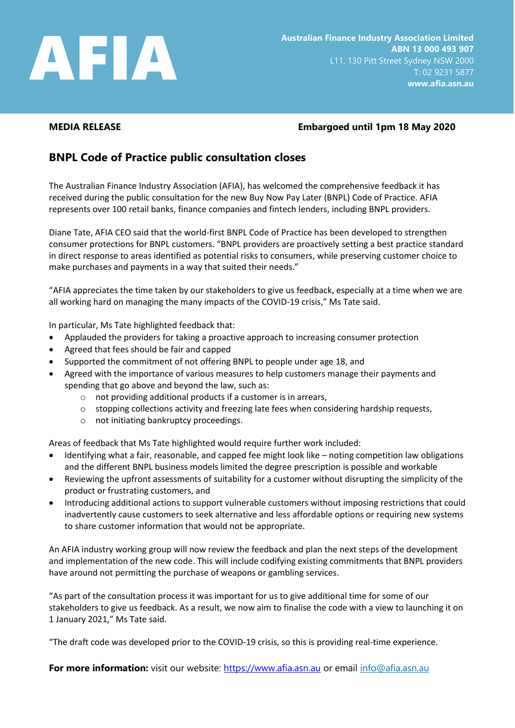

## **MEDIA RELEASE Embargoed until 1pm 18 May 2020**

## **BNPL Code of Practice public consultation closes**

The Australian Finance Industry Association (AFIA), has welcomed the comprehensive feedback it has received during the public consultation for the new Buy Now Pay Later (BNPL) Code of Practice. AFIA represents over 100 retail banks, finance companies and fintech lenders, including BNPL providers.

Diane Tate, AFIA CEO said that the world-first BNPL Code of Practice has been developed to strengthen consumer protections for BNPL customers. "BNPL providers are proactively setting a best practice standard in direct response to areas identified as potential risks to consumers, while preserving customer choice to make purchases and payments in a way that suited their needs."

"AFIA appreciates the time taken by our stakeholders to give us feedback, especially at a time when we are all working hard on managing the many impacts of the COVID-19 crisis," Ms Tate said.

In particular, Ms Tate highlighted feedback that:

- Applauded the providers for taking a proactive approach to increasing consumer protection
- Agreed that fees should be fair and capped
- Supported the commitment of not offering BNPL to people under age 18, and
- Agreed with the importance of various measures to help customers manage their payments and spending that go above and beyond the law, such as:
	- o not providing additional products if a customer is in arrears,
	- $\circ$  stopping collections activity and freezing late fees when considering hardship requests,
	- o not initiating bankruptcy proceedings.

Areas of feedback that Ms Tate highlighted would require further work included:

- Identifying what a fair, reasonable, and capped fee might look like noting competition law obligations and the different BNPL business models limited the degree prescription is possible and workable
- Reviewing the upfront assessments of suitability for a customer without disrupting the simplicity of the product or frustrating customers, and
- Introducing additional actions to support vulnerable customers without imposing restrictions that could inadvertently cause customers to seek alternative and less affordable options or requiring new systems to share customer information that would not be appropriate.

An AFIA industry working group will now review the feedback and plan the next steps of the development and implementation of the new code. This will include codifying existing commitments that BNPL providers have around not permitting the purchase of weapons or gambling services.

"As part of the consultation process it was important for us to give additional time for some of our stakeholders to give us feedback. As a result, we now aim to finalise the code with a view to launching it on 1 January 2021," Ms Tate said.

"The draft code was developed prior to the COVID-19 crisis, so this is providing real-time experience.

For more information: visit our website: [https://www.afia.asn.au](https://www.afia.asn.au/) or email info@afia.asn.au